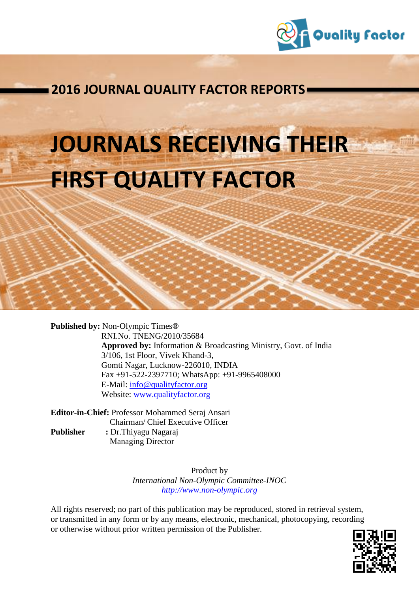

**List of Journal QUALITY FACTOR REPORTS** 

# **JOURNALS RECEIVING THEIR FIRST QUALITY FACTOR**

**Published by:** Non-Olympic Times**®** RNI.No. TNENG/2010/35684 **Approved by:** Information & Broadcasting Ministry, Govt. of India 3/106, 1st Floor, Vivek Khand-3, Gomti Nagar, Lucknow-226010, INDIA Fax +91-522-2397710; WhatsApp: +91-9965408000 E-Mail: [info@qualityfactor.org](mailto:info@qualityfactor.org) Website: [www.qualityfactor.org](http://www.qualityfactor.org/)

**Editor-in-Chief:** Professor Mohammed Seraj Ansari Chairman/ Chief Executive Officer **Publisher :** Dr.Thiyagu Nagaraj

Managing Director

Product by *International Non-Olympic Committee-INOC [http://www.non-olympic.org](http://www.non-olympic.org/)*

All rights reserved; no part of this publication may be reproduced, stored in retrieval system, or transmitted in any form or by any means, electronic, mechanical, photocopying, recording or otherwise without prior written permission of the Publisher.

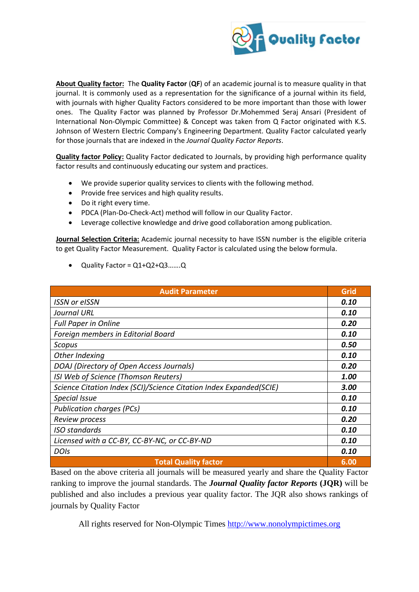

journal. It is commonly used as a representation for the significance of a journal within its field, with journals with higher Quality Factors considered to be more important than those with lower for those journals that are indexed in the *Journal Quality Factor Reports*. **About Quality factor:** The **Quality Factor** (**QF**) of an academic journal is to measure quality in that ones. The Quality Factor was planned by Professor Dr.Mohemmed Seraj Ansari (President of International Non-Olympic Committee) & Concept was taken from Q Factor originated with K.S. Johnson of Western Electric Company's Engineering Department. Quality Factor calculated yearly

**Quality factor Policy:** Quality Factor dedicated to Journals, by providing high performance quality **2006, including the Country Factor dedicated to sournals, by providing ingit performance quanty** factor results and continuously educating our system and practices.

- We provide superior quality services to clients with the following method.
- Provide free services and high quality results.
- Do it right every time.
- PDCA (Plan-Do-Check-Act) method will follow in our Quality Factor.
- Leverage collective knowledge and drive good collaboration among publication.

**Journal Selection Criteria:** Academic journal necessity to have ISSN number is the eligible criteria to get Quality Factor Measurement. Quality Factor is calculated using the below formula.

Quality Factor = Q1+Q2+Q3…….Q

| <b>Audit Parameter</b>                                             | Grid |
|--------------------------------------------------------------------|------|
| <b>ISSN or eISSN</b>                                               | 0.10 |
| <b>Journal URL</b>                                                 | 0.10 |
| <b>Full Paper in Online</b>                                        | 0.20 |
| Foreign members in Editorial Board                                 | 0.10 |
| Scopus                                                             | 0.50 |
| Other Indexing                                                     | 0.10 |
| DOAJ (Directory of Open Access Journals)                           | 0.20 |
| ISI Web of Science (Thomson Reuters)                               | 1.00 |
| Science Citation Index (SCI)/Science Citation Index Expanded(SCIE) | 3.00 |
| <b>Special Issue</b>                                               | 0.10 |
| <b>Publication charges (PCs)</b>                                   | 0.10 |
| Review process                                                     | 0.20 |
| <b>ISO</b> standards                                               | 0.10 |
| Licensed with a CC-BY, CC-BY-NC, or CC-BY-ND                       | 0.10 |
| <b>DOIs</b>                                                        | 0.10 |
| <b>Total Quality factor</b>                                        | 6.00 |

Based on the above criteria all journals will be measured yearly and share the Quality Factor ranking to improve the journal standards. The *Journal Quality factor Reports* **(JQR)** will be published and also includes a previous year quality factor. The JQR also shows rankings of journals by Quality Factor

All rights reserved for Non-Olympic Times [http://www.nonolympictimes.org](http://www.nonolympictimes.org/)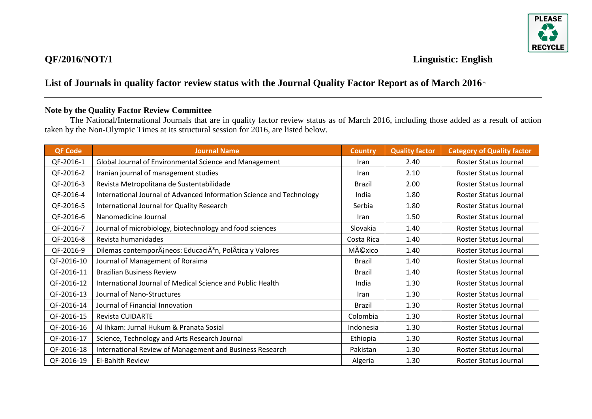

#### **Note by the Quality Factor Review Committee**

The National/International Journals that are in quality factor review status as of March 2016, including those added as a result of action taken by the Non-Olympic Times at its structural session for 2016, are listed below.

| <b>QF Code</b> | <b>Journal Name</b>                                                  | <b>Country</b> | <b>Quality factor</b> | <b>Category of Quality factor</b> |
|----------------|----------------------------------------------------------------------|----------------|-----------------------|-----------------------------------|
| QF-2016-1      | Global Journal of Environmental Science and Management               | <b>Iran</b>    | 2.40                  | Roster Status Journal             |
| QF-2016-2      | Iranian journal of management studies                                | <b>Iran</b>    | 2.10                  | Roster Status Journal             |
| QF-2016-3      | Revista Metropolitana de Sustentabilidade                            | Brazil         | 2.00                  | Roster Status Journal             |
| QF-2016-4      | International Journal of Advanced Information Science and Technology | India          | 1.80                  | Roster Status Journal             |
| QF-2016-5      | International Journal for Quality Research                           | Serbia         | 1.80                  | Roster Status Journal             |
| QF-2016-6      | Nanomedicine Journal                                                 | Iran           | 1.50                  | Roster Status Journal             |
| QF-2016-7      | Journal of microbiology, biotechnology and food sciences             | Slovakia       | 1.40                  | Roster Status Journal             |
| QF-2016-8      | Revista humanidades                                                  | Costa Rica     | 1.40                  | Roster Status Journal             |
| QF-2016-9      | Dilemas contemporÂjneos: EducaciÃ <sup>3</sup> n, PolÂtica y Valores | México         | 1.40                  | Roster Status Journal             |
| QF-2016-10     | Journal of Management of Roraima                                     | <b>Brazil</b>  | 1.40                  | Roster Status Journal             |
| QF-2016-11     | <b>Brazilian Business Review</b>                                     | <b>Brazil</b>  | 1.40                  | Roster Status Journal             |
| QF-2016-12     | International Journal of Medical Science and Public Health           | India          | 1.30                  | Roster Status Journal             |
| QF-2016-13     | Journal of Nano-Structures                                           | Iran           | 1.30                  | Roster Status Journal             |
| QF-2016-14     | Journal of Financial Innovation                                      | <b>Brazil</b>  | 1.30                  | Roster Status Journal             |
| QF-2016-15     | <b>Revista CUIDARTE</b>                                              | Colombia       | 1.30                  | Roster Status Journal             |
| QF-2016-16     | Al Ihkam: Jurnal Hukum & Pranata Sosial                              | Indonesia      | 1.30                  | Roster Status Journal             |
| QF-2016-17     | Science, Technology and Arts Research Journal                        | Ethiopia       | 1.30                  | Roster Status Journal             |
| QF-2016-18     | International Review of Management and Business Research             | Pakistan       | 1.30                  | Roster Status Journal             |
| QF-2016-19     | El-Bahith Review                                                     | Algeria        | 1.30                  | Roster Status Journal             |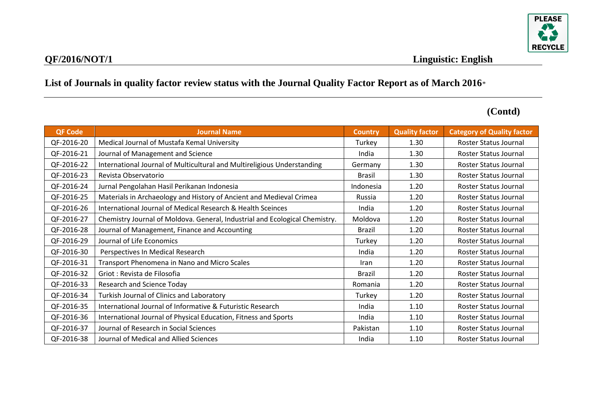

| <b>QF Code</b> | <b>Journal Name</b>                                                         | <b>Country</b> | <b>Quality factor</b> | <b>Category of Quality factor</b> |
|----------------|-----------------------------------------------------------------------------|----------------|-----------------------|-----------------------------------|
| QF-2016-20     | Medical Journal of Mustafa Kemal University                                 | Turkey         | 1.30                  | Roster Status Journal             |
| QF-2016-21     | Journal of Management and Science                                           | India          | 1.30                  | Roster Status Journal             |
| QF-2016-22     | International Journal of Multicultural and Multireligious Understanding     | Germany        | 1.30                  | Roster Status Journal             |
| QF-2016-23     | Revista Observatorio                                                        | <b>Brasil</b>  | 1.30                  | Roster Status Journal             |
| QF-2016-24     | Jurnal Pengolahan Hasil Perikanan Indonesia                                 | Indonesia      | 1.20                  | Roster Status Journal             |
| QF-2016-25     | Materials in Archaeology and History of Ancient and Medieval Crimea         | Russia         | 1.20                  | Roster Status Journal             |
| QF-2016-26     | International Journal of Medical Research & Health Sceinces                 | India          | 1.20                  | Roster Status Journal             |
| QF-2016-27     | Chemistry Journal of Moldova. General, Industrial and Ecological Chemistry. | Moldova        | 1.20                  | Roster Status Journal             |
| QF-2016-28     | Journal of Management, Finance and Accounting                               | <b>Brazil</b>  | 1.20                  | Roster Status Journal             |
| QF-2016-29     | Journal of Life Economics                                                   | Turkey         | 1.20                  | Roster Status Journal             |
| QF-2016-30     | Perspectives In Medical Research                                            | India          | 1.20                  | Roster Status Journal             |
| QF-2016-31     | Transport Phenomena in Nano and Micro Scales                                | Iran           | 1.20                  | Roster Status Journal             |
| QF-2016-32     | Griot : Revista de Filosofia                                                | <b>Brazil</b>  | 1.20                  | Roster Status Journal             |
| QF-2016-33     | <b>Research and Science Today</b>                                           | Romania        | 1.20                  | Roster Status Journal             |
| QF-2016-34     | Turkish Journal of Clinics and Laboratory                                   | Turkey         | 1.20                  | Roster Status Journal             |
| QF-2016-35     | International Journal of Informative & Futuristic Research                  | India          | 1.10                  | Roster Status Journal             |
| QF-2016-36     | International Journal of Physical Education, Fitness and Sports             | India          | 1.10                  | Roster Status Journal             |
| QF-2016-37     | Journal of Research in Social Sciences                                      | Pakistan       | 1.10                  | Roster Status Journal             |
| QF-2016-38     | Journal of Medical and Allied Sciences                                      | India          | 1.10                  | Roster Status Journal             |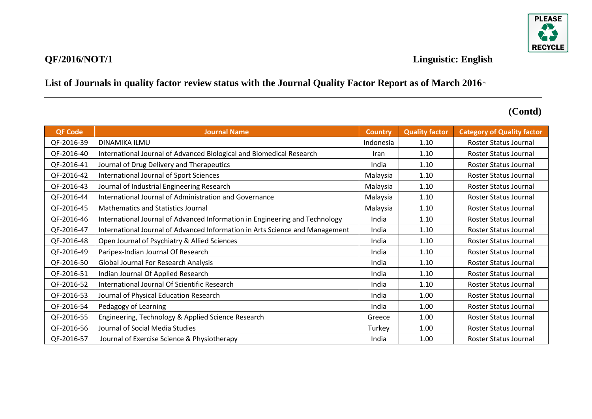

| <b>QF Code</b> | <b>Journal Name</b>                                                          | <b>Country</b> | <b>Quality factor</b> | <b>Category of Quality factor</b> |
|----------------|------------------------------------------------------------------------------|----------------|-----------------------|-----------------------------------|
| QF-2016-39     | <b>DINAMIKA ILMU</b>                                                         | Indonesia      | 1.10                  | Roster Status Journal             |
| QF-2016-40     | International Journal of Advanced Biological and Biomedical Research         | Iran           | 1.10                  | Roster Status Journal             |
| QF-2016-41     | Journal of Drug Delivery and Therapeutics                                    | India          | 1.10                  | Roster Status Journal             |
| QF-2016-42     | International Journal of Sport Sciences                                      | Malaysia       | 1.10                  | Roster Status Journal             |
| QF-2016-43     | Journal of Industrial Engineering Research                                   | Malaysia       | 1.10                  | Roster Status Journal             |
| QF-2016-44     | International Journal of Administration and Governance                       | Malaysia       | 1.10                  | Roster Status Journal             |
| QF-2016-45     | <b>Mathematics and Statistics Journal</b>                                    | Malaysia       | 1.10                  | Roster Status Journal             |
| QF-2016-46     | International Journal of Advanced Information in Engineering and Technology  | India          | 1.10                  | Roster Status Journal             |
| QF-2016-47     | International Journal of Advanced Information in Arts Science and Management | India          | 1.10                  | Roster Status Journal             |
| QF-2016-48     | Open Journal of Psychiatry & Allied Sciences                                 | India          | 1.10                  | Roster Status Journal             |
| QF-2016-49     | Paripex-Indian Journal Of Research                                           | India          | 1.10                  | Roster Status Journal             |
| QF-2016-50     | <b>Global Journal For Research Analysis</b>                                  | India          | 1.10                  | Roster Status Journal             |
| QF-2016-51     | Indian Journal Of Applied Research                                           | India          | 1.10                  | Roster Status Journal             |
| QF-2016-52     | International Journal Of Scientific Research                                 | India          | 1.10                  | Roster Status Journal             |
| QF-2016-53     | Journal of Physical Education Research                                       | India          | 1.00                  | Roster Status Journal             |
| QF-2016-54     | Pedagogy of Learning                                                         | India          | 1.00                  | Roster Status Journal             |
| QF-2016-55     | Engineering, Technology & Applied Science Research                           | Greece         | 1.00                  | Roster Status Journal             |
| QF-2016-56     | Journal of Social Media Studies                                              | Turkey         | 1.00                  | Roster Status Journal             |
| QF-2016-57     | Journal of Exercise Science & Physiotherapy                                  | India          | 1.00                  | Roster Status Journal             |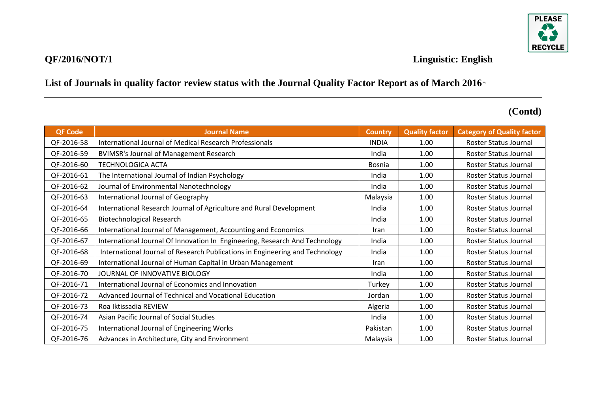

| <b>QF Code</b> | <b>Journal Name</b>                                                          | <b>Country</b> | <b>Quality factor</b> | <b>Category of Quality factor</b> |
|----------------|------------------------------------------------------------------------------|----------------|-----------------------|-----------------------------------|
| QF-2016-58     | International Journal of Medical Research Professionals                      | <b>INDIA</b>   | 1.00                  | Roster Status Journal             |
| QF-2016-59     | <b>BVIMSR's Journal of Management Research</b>                               | India          | 1.00                  | Roster Status Journal             |
| QF-2016-60     | <b>TECHNOLOGICA ACTA</b>                                                     | <b>Bosnia</b>  | 1.00                  | Roster Status Journal             |
| QF-2016-61     | The International Journal of Indian Psychology                               | India          | 1.00                  | Roster Status Journal             |
| QF-2016-62     | Journal of Environmental Nanotechnology                                      | India          | 1.00                  | Roster Status Journal             |
| QF-2016-63     | International Journal of Geography                                           | Malaysia       | 1.00                  | Roster Status Journal             |
| QF-2016-64     | International Research Journal of Agriculture and Rural Development          | India          | 1.00                  | Roster Status Journal             |
| QF-2016-65     | <b>Biotechnological Research</b>                                             | India          | 1.00                  | Roster Status Journal             |
| QF-2016-66     | International Journal of Management, Accounting and Economics                | Iran           | 1.00                  | Roster Status Journal             |
| QF-2016-67     | International Journal Of Innovation In Engineering, Research And Technology  | India          | 1.00                  | Roster Status Journal             |
| QF-2016-68     | International Journal of Research Publications in Engineering and Technology | India          | 1.00                  | Roster Status Journal             |
| QF-2016-69     | International Journal of Human Capital in Urban Management                   | Iran           | 1.00                  | Roster Status Journal             |
| QF-2016-70     | JOURNAL OF INNOVATIVE BIOLOGY                                                | India          | 1.00                  | Roster Status Journal             |
| QF-2016-71     | International Journal of Economics and Innovation                            | Turkey         | 1.00                  | Roster Status Journal             |
| QF-2016-72     | Advanced Journal of Technical and Vocational Education                       | Jordan         | 1.00                  | Roster Status Journal             |
| QF-2016-73     | Roa Iktissadia REVIEW                                                        | Algeria        | 1.00                  | Roster Status Journal             |
| QF-2016-74     | Asian Pacific Journal of Social Studies                                      | India          | 1.00                  | Roster Status Journal             |
| QF-2016-75     | International Journal of Engineering Works                                   | Pakistan       | 1.00                  | Roster Status Journal             |
| QF-2016-76     | Advances in Architecture, City and Environment                               | Malaysia       | 1.00                  | Roster Status Journal             |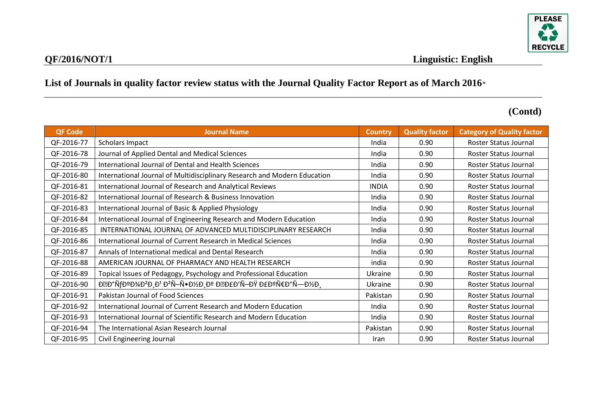

| <b>QF Code</b> | <b>Journal Name</b>                                                                           | <b>Country</b> | <b>Quality factor</b> | <b>Category of Quality factor</b> |
|----------------|-----------------------------------------------------------------------------------------------|----------------|-----------------------|-----------------------------------|
| QF-2016-77     | Scholars Impact                                                                               | India          | 0.90                  | <b>Roster Status Journal</b>      |
| QF-2016-78     | Journal of Applied Dental and Medical Sciences                                                | India          | 0.90                  | Roster Status Journal             |
| QF-2016-79     | International Journal of Dental and Health Sciences                                           | India          | 0.90                  | Roster Status Journal             |
| QF-2016-80     | International Journal of Multidisciplinary Research and Modern Education                      | India          | 0.90                  | Roster Status Journal             |
| QF-2016-81     | International Journal of Research and Analytical Reviews                                      | <b>INDIA</b>   | 0.90                  | Roster Status Journal             |
| QF-2016-82     | International Journal of Research & Business Innovation                                       | India          | 0.90                  | Roster Status Journal             |
| QF-2016-83     | International Journal of Basic & Applied Physiology                                           | India          | 0.90                  | Roster Status Journal             |
| QF-2016-84     | International Journal of Engineering Research and Modern Education                            | India          | 0.90                  | Roster Status Journal             |
| QF-2016-85     | INTERNATIONAL JOURNAL OF ADVANCED MULTIDISCIPLINARY RESEARCH                                  | India          | 0.90                  | Roster Status Journal             |
| QF-2016-86     | International Journal of Current Research in Medical Sciences                                 | India          | 0.90                  | Roster Status Journal             |
| QF-2016-87     | Annals of International medical and Dental Research                                           | India          | 0.90                  | Roster Status Journal             |
| QF-2016-88     | AMERICAN JOURNAL OF PHARMACY AND HEALTH RESEARCH                                              | india          | 0.90                  | Roster Status Journal             |
| QF-2016-89     | Topical Issues of Pedagogy, Psychology and Professional Education                             | Ukraine        | 0.90                  | Roster Status Journal             |
| QF-2016-90     | DZD°ÑfDºD¾D <sup>2</sup> D,D <sup>1</sup> D <sup>2</sup> Ñ-Ñ•D½D,Dº DZD£D'Ñ-DŸ D£DºÑ€D°Ñ-D½D, | Ukraine        | 0.90                  | Roster Status Journal             |
| QF-2016-91     | Pakistan Journal of Food Sciences                                                             | Pakistan       | 0.90                  | Roster Status Journal             |
| QF-2016-92     | International Journal of Current Research and Modern Education                                | India          | 0.90                  | Roster Status Journal             |
| QF-2016-93     | International Journal of Scientific Research and Modern Education                             | India          | 0.90                  | Roster Status Journal             |
| QF-2016-94     | The International Asian Research Journal                                                      | Pakistan       | 0.90                  | Roster Status Journal             |
| QF-2016-95     | Civil Engineering Journal                                                                     | Iran           | 0.90                  | Roster Status Journal             |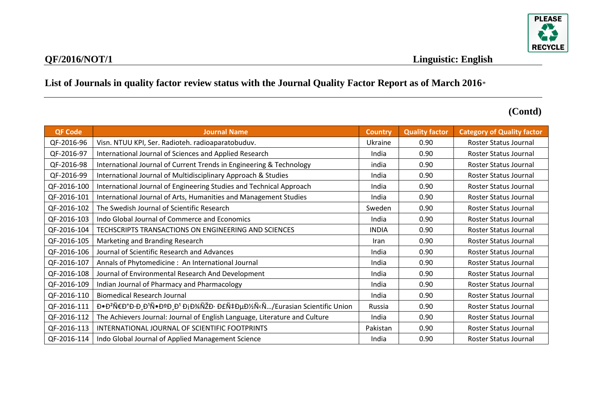

| <b>QF Code</b> | <b>Journal Name</b>                                                                                         | <b>Country</b> | <b>Quality factor</b> | <b>Category of Quality factor</b> |
|----------------|-------------------------------------------------------------------------------------------------------------|----------------|-----------------------|-----------------------------------|
| QF-2016-96     | Visn. NTUU KPI, Ser. Radioteh. radioaparatobuduv.                                                           | Ukraine        | 0.90                  | <b>Roster Status Journal</b>      |
| QF-2016-97     | International Journal of Sciences and Applied Research                                                      | India          | 0.90                  | Roster Status Journal             |
| QF-2016-98     | International Journal of Current Trends in Engineering & Technology                                         | india          | 0.90                  | Roster Status Journal             |
| QF-2016-99     | International Journal of Multidisciplinary Approach & Studies                                               | India          | 0.90                  | Roster Status Journal             |
| QF-2016-100    | International Journal of Engineering Studies and Technical Approach                                         | India          | 0.90                  | Roster Status Journal             |
| QF-2016-101    | International Journal of Arts, Humanities and Management Studies                                            | India          | 0.90                  | Roster Status Journal             |
| QF-2016-102    | The Swedish Journal of Scientific Research                                                                  | Sweden         | 0.90                  | Roster Status Journal             |
| QF-2016-103    | Indo Global Journal of Commerce and Economics                                                               | India          | 0.90                  | Roster Status Journal             |
| QF-2016-104    | TECHSCRIPTS TRANSACTIONS ON ENGINEERING AND SCIENCES                                                        | <b>INDIA</b>   | 0.90                  | Roster Status Journal             |
| QF-2016-105    | Marketing and Branding Research                                                                             | Iran           | 0.90                  | Roster Status Journal             |
| QF-2016-106    | Journal of Scientific Research and Advances                                                                 | India          | 0.90                  | Roster Status Journal             |
| QF-2016-107    | Annals of Phytomedicine: An International Journal                                                           | India          | 0.90                  | Roster Status Journal             |
| QF-2016-108    | Journal of Environmental Research And Development                                                           | India          | 0.90                  | Roster Status Journal             |
| QF-2016-109    | Indian Journal of Pharmacy and Pharmacology                                                                 | India          | 0.90                  | Roster Status Journal             |
| QF-2016-110    | <b>Biomedical Research Journal</b>                                                                          | India          | 0.90                  | Roster Status Journal             |
| QF-2016-111    | Đ•Đ <sup>2</sup> Ñ€Đ°Đ·Đ¸Đ <sup>1</sup> Ñ•ĐºĐ¸Đ <sup>1</sup> ĐịĐ¾ÑŽĐ· Đ£Ñ‡ĐµĐ½Ñ‹Ñ/Eurasian Scientific Union | Russia         | 0.90                  | Roster Status Journal             |
| QF-2016-112    | The Achievers Journal: Journal of English Language, Literature and Culture                                  | India          | 0.90                  | Roster Status Journal             |
| QF-2016-113    | INTERNATIONAL JOURNAL OF SCIENTIFIC FOOTPRINTS                                                              | Pakistan       | 0.90                  | Roster Status Journal             |
| QF-2016-114    | Indo Global Journal of Applied Management Science                                                           | India          | 0.90                  | Roster Status Journal             |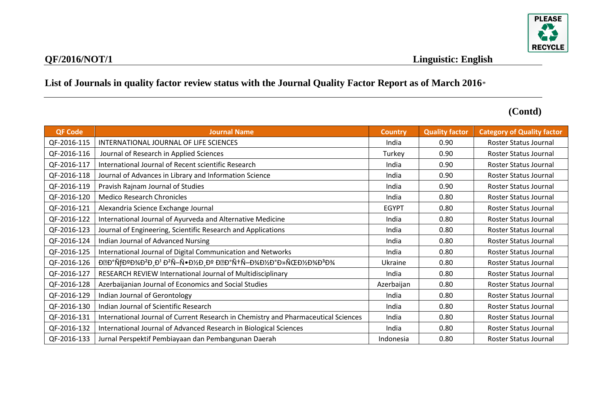

| <b>QF Code</b> | <b>Journal Name</b>                                                                                         | <b>Country</b> | <b>Quality factor</b> | <b>Category of Quality factor</b> |
|----------------|-------------------------------------------------------------------------------------------------------------|----------------|-----------------------|-----------------------------------|
| QF-2016-115    | INTERNATIONAL JOURNAL OF LIFE SCIENCES                                                                      | India          | 0.90                  | Roster Status Journal             |
| QF-2016-116    | Journal of Research in Applied Sciences                                                                     | Turkey         | 0.90                  | Roster Status Journal             |
| QF-2016-117    | International Journal of Recent scientific Research                                                         | India          | 0.90                  | Roster Status Journal             |
| QF-2016-118    | Journal of Advances in Library and Information Science                                                      | India          | 0.90                  | Roster Status Journal             |
| QF-2016-119    | Pravish Rajnam Journal of Studies                                                                           | India          | 0.90                  | Roster Status Journal             |
| QF-2016-120    | <b>Medico Research Chronicles</b>                                                                           | India          | 0.80                  | Roster Status Journal             |
| QF-2016-121    | Alexandria Science Exchange Journal                                                                         | <b>EGYPT</b>   | 0.80                  | Roster Status Journal             |
| QF-2016-122    | International Journal of Ayurveda and Alternative Medicine                                                  | India          | 0.80                  | Roster Status Journal             |
| QF-2016-123    | Journal of Engineering, Scientific Research and Applications                                                | India          | 0.80                  | Roster Status Journal             |
| QF-2016-124    | Indian Journal of Advanced Nursing                                                                          | India          | 0.80                  | Roster Status Journal             |
| QF-2016-125    | International Journal of Digital Communication and Networks                                                 | India          | 0.80                  | Roster Status Journal             |
| QF-2016-126    | DED°ÑfDºD¾D <sup>2</sup> D D <sup>1</sup> D <sup>2</sup> Ñ-Ñ•D½D Dº DED°Ñ+Ñ-D¾D½D°D»ÑŒD½D¾D <sup>3</sup> D¾ | Ukraine        | 0.80                  | Roster Status Journal             |
| QF-2016-127    | RESEARCH REVIEW International Journal of Multidisciplinary                                                  | India          | 0.80                  | <b>Roster Status Journal</b>      |
| QF-2016-128    | Azerbaijanian Journal of Economics and Social Studies                                                       | Azerbaijan     | 0.80                  | Roster Status Journal             |
| QF-2016-129    | Indian Journal of Gerontology                                                                               | India          | 0.80                  | Roster Status Journal             |
| QF-2016-130    | Indian Journal of Scientific Research                                                                       | India          | 0.80                  | Roster Status Journal             |
| QF-2016-131    | International Journal of Current Research in Chemistry and Pharmaceutical Sciences                          | India          | 0.80                  | Roster Status Journal             |
| QF-2016-132    | International Journal of Advanced Research in Biological Sciences                                           | India          | 0.80                  | Roster Status Journal             |
| QF-2016-133    | Jurnal Perspektif Pembiayaan dan Pembangunan Daerah                                                         | Indonesia      | 0.80                  | Roster Status Journal             |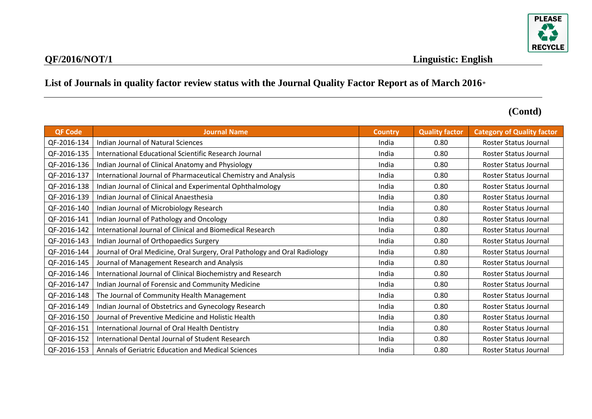

| <b>QF Code</b> | <b>Journal Name</b>                                                       | <b>Country</b> | <b>Quality factor</b> | <b>Category of Quality factor</b> |
|----------------|---------------------------------------------------------------------------|----------------|-----------------------|-----------------------------------|
| QF-2016-134    | <b>Indian Journal of Natural Sciences</b>                                 | India          | 0.80                  | <b>Roster Status Journal</b>      |
| QF-2016-135    | International Educational Scientific Research Journal                     | India          | 0.80                  | Roster Status Journal             |
| QF-2016-136    | Indian Journal of Clinical Anatomy and Physiology                         | India          | 0.80                  | Roster Status Journal             |
| QF-2016-137    | International Journal of Pharmaceutical Chemistry and Analysis            | India          | 0.80                  | Roster Status Journal             |
| QF-2016-138    | Indian Journal of Clinical and Experimental Ophthalmology                 | India          | 0.80                  | Roster Status Journal             |
| QF-2016-139    | Indian Journal of Clinical Anaesthesia                                    | India          | 0.80                  | Roster Status Journal             |
| QF-2016-140    | Indian Journal of Microbiology Research                                   | India          | 0.80                  | Roster Status Journal             |
| QF-2016-141    | Indian Journal of Pathology and Oncology                                  | India          | 0.80                  | Roster Status Journal             |
| QF-2016-142    | International Journal of Clinical and Biomedical Research                 | India          | 0.80                  | Roster Status Journal             |
| QF-2016-143    | Indian Journal of Orthopaedics Surgery                                    | India          | 0.80                  | Roster Status Journal             |
| QF-2016-144    | Journal of Oral Medicine, Oral Surgery, Oral Pathology and Oral Radiology | India          | 0.80                  | Roster Status Journal             |
| QF-2016-145    | Journal of Management Research and Analysis                               | India          | 0.80                  | Roster Status Journal             |
| QF-2016-146    | International Journal of Clinical Biochemistry and Research               | India          | 0.80                  | Roster Status Journal             |
| QF-2016-147    | Indian Journal of Forensic and Community Medicine                         | India          | 0.80                  | Roster Status Journal             |
| QF-2016-148    | The Journal of Community Health Management                                | India          | 0.80                  | Roster Status Journal             |
| QF-2016-149    | Indian Journal of Obstetrics and Gynecology Research                      | India          | 0.80                  | Roster Status Journal             |
| QF-2016-150    | Journal of Preventive Medicine and Holistic Health                        | India          | 0.80                  | <b>Roster Status Journal</b>      |
| QF-2016-151    | International Journal of Oral Health Dentistry                            | India          | 0.80                  | Roster Status Journal             |
| QF-2016-152    | International Dental Journal of Student Research                          | India          | 0.80                  | Roster Status Journal             |
| QF-2016-153    | Annals of Geriatric Education and Medical Sciences                        | India          | 0.80                  | Roster Status Journal             |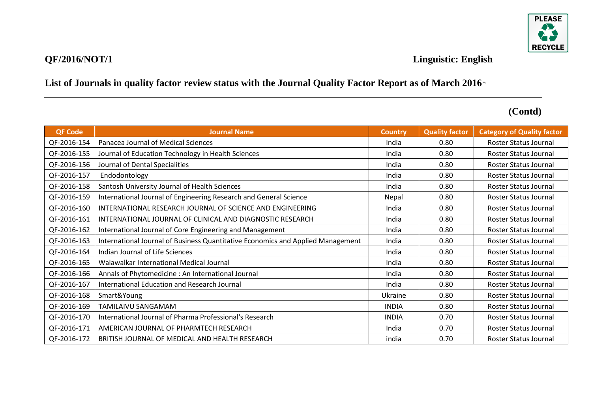

| <b>QF Code</b> | <b>Journal Name</b>                                                             | <b>Country</b> | <b>Quality factor</b> | <b>Category of Quality factor</b> |
|----------------|---------------------------------------------------------------------------------|----------------|-----------------------|-----------------------------------|
| QF-2016-154    | Panacea Journal of Medical Sciences                                             | India          | 0.80                  | Roster Status Journal             |
| QF-2016-155    | Journal of Education Technology in Health Sciences                              | India          | 0.80                  | Roster Status Journal             |
| QF-2016-156    | Journal of Dental Specialities                                                  | India          | 0.80                  | Roster Status Journal             |
| QF-2016-157    | Endodontology                                                                   | India          | 0.80                  | Roster Status Journal             |
| QF-2016-158    | Santosh University Journal of Health Sciences                                   | India          | 0.80                  | Roster Status Journal             |
| QF-2016-159    | International Journal of Engineering Research and General Science               | Nepal          | 0.80                  | <b>Roster Status Journal</b>      |
| QF-2016-160    | INTERNATIONAL RESEARCH JOURNAL OF SCIENCE AND ENGINEERING                       | India          | 0.80                  | Roster Status Journal             |
| QF-2016-161    | INTERNATIONAL JOURNAL OF CLINICAL AND DIAGNOSTIC RESEARCH                       | India          | 0.80                  | Roster Status Journal             |
| QF-2016-162    | International Journal of Core Engineering and Management                        | India          | 0.80                  | Roster Status Journal             |
| QF-2016-163    | International Journal of Business Quantitative Economics and Applied Management | India          | 0.80                  | Roster Status Journal             |
| QF-2016-164    | Indian Journal of Life Sciences                                                 | India          | 0.80                  | Roster Status Journal             |
| QF-2016-165    | Walawalkar International Medical Journal                                        | India          | 0.80                  | Roster Status Journal             |
| QF-2016-166    | Annals of Phytomedicine: An International Journal                               | India          | 0.80                  | Roster Status Journal             |
| QF-2016-167    | International Education and Research Journal                                    | India          | 0.80                  | Roster Status Journal             |
| QF-2016-168    | Smart&Young                                                                     | Ukraine        | 0.80                  | Roster Status Journal             |
| QF-2016-169    | TAMILAIVU SANGAMAM                                                              | <b>INDIA</b>   | 0.80                  | Roster Status Journal             |
| QF-2016-170    | International Journal of Pharma Professional's Research                         | <b>INDIA</b>   | 0.70                  | Roster Status Journal             |
| QF-2016-171    | AMERICAN JOURNAL OF PHARMTECH RESEARCH                                          | India          | 0.70                  | Roster Status Journal             |
| QF-2016-172    | BRITISH JOURNAL OF MEDICAL AND HEALTH RESEARCH                                  | india          | 0.70                  | Roster Status Journal             |